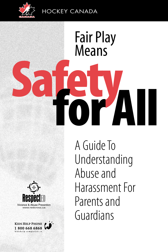

HOCKEY CANADA

# **Safety** Fair Play Means **for All**

www.redcross.ca

**KIDS HELP PHONE** 1800 668 6868 A Guide To Understanding Abuse and Harassment For Parents and Guardians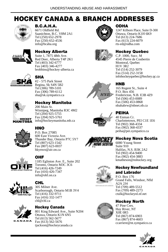# **HOCKEY CANADA & BRANCH ADDRESSES**



### **B.C.A.H.A.**

6671 Oldfield Rd. Saanichton, B.C. V8M 2A1 Tel (250) 652-2978 Fax (250) 652-4536 info@bcaha.org



### **Hockey Alberta**

Suite 1, 7875 48th Ave. Red Deer, Alberta T4P 2K1 Tel (403) 342-6777 Fax (403) 346-4277 brobbins@hockey-alberta.ca



### **SHA**

#2 - 575 Park Street Regina, Sk S4N 5B2 Tel (306) 789-5101 Fax (306) 789-6112 sha@sk.sympatico.ca



#### **Hockey Manitoba**

200 Main St. Winnipeg, Manitoba R3C 4M2 Tel (204) 925-5755 Fax (204) 925-5761 info@hockeymanitoba.mb.ca



### **HNO**

P.O. Box 27085 600 East Victoria Ave. Thunder Bay, Ontario P7C 5Y7 Tel (807) 623-1542 Fax (807) 623-0037 hkynwo@air.on.ca



### **OHF**

1185 Eglinton Ave. E., Suite 202 Toronto, Ontario M3C 3C6 Tel (416) 426-7249 Fax (416) 426-7347 info@ohf.on.ca



### **CHL**

305 Milner Ave. Scarborough, Ontario M1B 3V4 Tel (416) 332-9711 Fax (416) 332-1477 chl@chl.ca



#### **Hockey Canada**

801 King Edward Ave., Suite N204 Ottawa, Ontario K1N 6N5 Tel (613) 562-5677 Fax (613) 562-5676 tjackson@hockeycanada.ca



#### **ODHA**

1247 Kilborn Place, Suite D-300 Ottawa, Ontario K1H 6K9 Tel (613) 224-7686 Fax (613) 224-6079 rts-ed@odha.com

### **Hockey Quebec**

C.P. 1000, Succ. M 4545 Pierre de Coubertin Montreal, Quebec H1V 3R2 Tel (514) 252-3079 Fax (514) 252-3158 infohockeyquebec@hockey.qc.ca



#### 165 Regent St., Suite 4 P.O. Box 456

Fredericton, N.B. E3B 4Z9 Tel (506) 453-0089 Fax (506) 453-0868 nbahabrw@nbnet.nb.ca

### **PEIHA**

40 Enman Cr. Charlottetown, PEI C1E 1E6 Tel (902) 368-4334 Fax (902) 368-4337 peiha@pei.sympatico.ca



6080 Young Street Suite 910 Halifax, N.S. B3K 2A2 Tel (902) 454-9400 Fax (902) 454-3883 kmatheson@nshockey.org

### **Hockey Newfoundland and Labrador**

P.O. Box 176 Grand Falls, Windsor, Nfld A2A 2J4 Tel (709) 489-5512 Fax (709) 489-2273 ctulk@hockeynl.nf.net



47 Pine Cres. Hay River, NT X0E 0R5 Tel (867) 874-6903 Fax (867) 874-4603 ccarriere@nt.sympatico.ca









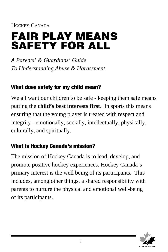HOCKEY CANADA

# **FAIR PLAY MEANS SAFETY FOR ALL**

*A Parents' & Guardians' Guide To Understanding Abuse & Harassment*

# **What does safety for my child mean?**

We all want our children to be safe - keeping them safe means putting the **child's best interests first**. In sports this means ensuring that the young player is treated with respect and integrity - emotionally, socially, intellectually, physically, culturally, and spiritually.

# **What is Hockey Canada's mission?**

The mission of Hockey Canada is to lead, develop, and promote positive hockey experiences. Hockey Canada's primary interest is the well being of its participants. This includes, among other things, a shared responsibility with parents to nurture the physical and emotional well-being of its participants.

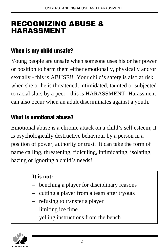# **RECOGNIZING ABUSE & HARASSMENT**

# **When is my child unsafe?**

Young people are unsafe when someone uses his or her power or position to harm them either emotionally, physically and/or sexually - this is ABUSE!! Your child's safety is also at risk when she or he is threatened, intimidated, taunted or subjected to racial slurs by a peer - this is HARASSMENT! Harassment can also occur when an adult discriminates against a youth.

# **What is emotional abuse?**

Emotional abuse is a chronic attack on a child's self esteem; it is psychologically destructive behaviour by a person in a position of power, authority or trust. It can take the form of name calling, threatening, ridiculing, intimidating, isolating, hazing or ignoring a child's needs!

### **It is not:**

- benching a player for disciplinary reasons
- cutting a player from a team after tryouts
- refusing to transfer a player
- limiting ice time
- yelling instructions from the bench

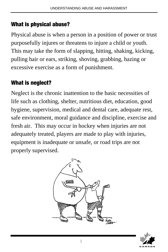# **What is physical abuse?**

Physical abuse is when a person in a position of power or trust purposefully injures or threatens to injure a child or youth. This may take the form of slapping, hitting, shaking, kicking, pulling hair or ears, striking, shoving, grabbing, hazing or excessive exercise as a form of punishment.

# **What is neglect?**

Neglect is the chronic inattention to the basic necessities of life such as clothing, shelter, nutritious diet, education, good hygiene, supervision, medical and dental care, adequate rest, safe environment, moral guidance and discipline, exercise and fresh air. This may occur in hockey when injuries are not adequately treated, players are made to play with injuries, equipment is inadequate or unsafe, or road trips are not properly supervised.



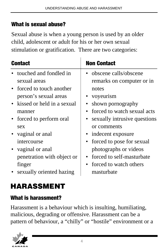# **What is sexual abuse?**

Sexual abuse is when a young person is used by an older child, adolescent or adult for his or her own sexual stimulation or gratification. There are two categories:

| <b>Contact</b>               | <b>Non Contact</b>                  |
|------------------------------|-------------------------------------|
| touched and fondled in       | • obscene calls/obscene             |
| sexual areas                 | remarks on computer or in           |
| • forced to touch another    | notes                               |
| person's sexual areas        | • voyeurism                         |
| • kissed or held in a sexual | • shown pornography                 |
| manner                       | • forced to watch sexual acts       |
| • forced to perform oral     | • sexually intrusive questions      |
| sex                          | or comments                         |
| vaginal or anal              | • indecent exposure                 |
| intercourse                  | • forced to pose for sexual         |
| • vaginal or anal            | photographs or videos               |
| penetration with object or   | forced to self-masturbate           |
| finger                       | forced to watch others<br>$\bullet$ |
| sexually oriented hazing     | masturbate                          |

# **HARASSMENT**

# **What is harassment?**

Harassment is a behaviour which is insulting, humiliating, malicious, degrading or offensive. Harassment can be a pattern of behaviour, a "chilly" or "hostile" environment or a

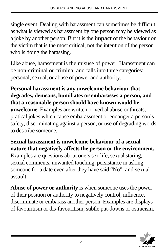single event. Dealing with harassment can sometimes be difficult as what is viewed as harassment by one person may be viewed as a joke by another person. But it is the **impact** of the behaviour on the victim that is the most critical, not the intention of the person who is doing the harassing.

Like abuse, harassment is the misuse of power. Harassment can be non-criminal or criminal and falls into three categories: personal, sexual, or abuse of power and authority.

**Personal harassment is any unwelcome behaviour that degrades, demeans, humiliates or embarasses a person, and that a reasonable person should have known would be unwelcome.** Examples are written or verbal abuse or threats, pratical jokes which cause embarassment or endanger a person's safety, discriminating against a person, or use of degrading words to describe someone.

**Sexual harassment is unwelcome behaviour of a sexual nature that negatively affects the person or the environment.** Examples are questions about one's sex life, sexual staring, sexual comments, unwanted touching, persistance in asking someone for a date even after they have said "No", and sexual assault.

**Abuse of power or authority** is when someone uses the power of their position or authority to negatively control, influence, discriminate or embarass another person. Examples are displays of favouritism or dis-favouritism, subtle put-downs or ostracism.

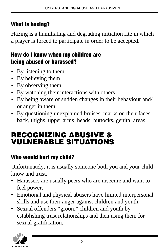# **What is hazing?**

Hazing is a humiliating and degrading initiation rite in which a player is forced to participate in order to be accepted.

# **How do I know when my children are being abused or harassed?**

- By listening to them
- By believing them
- By observing them
- By watching their interactions with others
- By being aware of sudden changes in their behaviour and/ or anger in them
- By questioning unexplained bruises, marks on their faces, back, thighs, upper arms, heads, buttocks, genital areas

# **RECOGNIZING ABUSIVE & VULNERABLE SITUATIONS**

# **Who would hurt my child?**

Unfortunately, it is usually someone both you and your child know and trust.

- Harassers are usually peers who are insecure and want to feel power.
- Emotional and physical abusers have limited interpersonal skills and use their anger against children and youth.
- Sexual offenders "groom" children and youth by establishing trust relationships and then using them for sexual gratification.

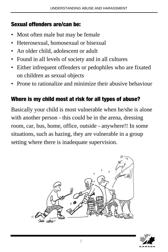# **Sexual offenders are/can be:**

- Most often male but may be female
- Heterosexual, homosexual or bisexual
- An older child, adolescent or adult
- Found in all levels of society and in all cultures
- Either infrequent offenders or pedophiles who are fixated on children as sexual objects
- Prone to rationalize and minimize their abusive behaviour

# **Where is my child most at risk for all types of abuse?**

Basically your child is most vulnerable when he/she is alone with another person - this could be in the arena, dressing room, car, bus, home, office, outside - anywhere!! In some situations, such as hazing, they are vulnerable in a group setting where there is inadequate supervision.



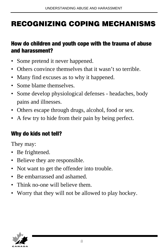# **RECOGNIZING COPING MECHANISMS**

# **How do children and youth cope with the trauma of abuse and harassment?**

- Some pretend it never happened.
- Others convince themselves that it wasn't so terrible.
- Many find excuses as to why it happened.
- Some blame themselves.
- Some develop physiological defenses headaches, body pains and illnesses.
- Others escape through drugs, alcohol, food or sex.
- A few try to hide from their pain by being perfect.

# **Why do kids not tell?**

They may:

- Be frightened.
- Believe they are responsible.
- Not want to get the offender into trouble.
- Be embarrassed and ashamed.
- Think no-one will believe them.
- Worry that they will not be allowed to play hockey.

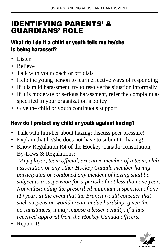# **IDENTIFYING PARENTS' & GUARDIANS' ROLE**

# **What do I do if a child or youth tells me he/she is being harassed?**

- Listen
- Believe
- Talk with your coach or officials
- Help the young person to learn effective ways of responding
- If it is mild harassment, try to resolve the situation informally
- If it is moderate or serious harassment, refer the complaint as specified in your organization's policy
- Give the child or youth continuous support

# **How do I protect my child or youth against hazing?**

- Talk with him/her about hazing; discuss peer pressure!
- Explain that he/she does not have to submit to hazing!
- Know Regulation R4 of the Hockey Canada Constitution, By-Laws & Regulations:

*"Any player, team official, executive member of a team, club association or any other Hockey Canada member having participated or condoned any incident of hazing shall be subject to a suspension for a period of not less than one year. Not withstanding the prescribed minimum suspension of one (1) year, in the event that the Branch would consider that such suspension would create undue hardship, given the circumstances, it may impose a lesser penalty, if it has received approval from the Hockey Canada officers.*

• Report it!

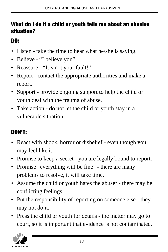# **What do I do if a child or youth tells me about an abusive situation?**

# **DO:**

- Listen take the time to hear what he/she is saying.
- Believe "I believe you".
- Reassure "It's not your fault!"
- Report contact the appropriate authorities and make a report.
- Support provide ongoing support to help the child or youth deal with the trauma of abuse.
- Take action do not let the child or youth stay in a vulnerable situation.

# **DON'T:**

- React with shock, horror or disbelief even though you may feel like it.
- Promise to keep a secret you are legally bound to report.
- Promise "everything will be fine" there are many problems to resolve, it will take time.
- Assume the child or youth hates the abuser there may be conflicting feelings.
- Put the responsibility of reporting on someone else they may not do it.
- Press the child or youth for details the matter may go to court, so it is important that evidence is not contaminated.

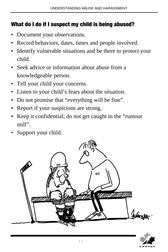# **What do I do if I suspect my child is being abused?**

- Document your observations.
- Record behaviors, dates, times and people involved.
- Identify vulnerable situations and be there to protect your child.
- Seek advice or information about abuse from a knowledgeable person.
- Tell your child your concerns.
- Listen to your child's fears about the situation.
- Do not promise that "everything will be fine".
- Report if your suspicions are strong.
- Keep it confidential; do not get caught in the "rumour mill".
- Support your child.



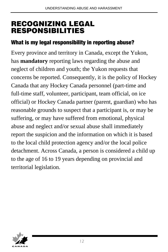# **RECOGNIZING LEGAL RESPONSIBILITIES**

# **What is my legal responsibility in reporting abuse?**

Every province and territory in Canada, except the Yukon, has **mandatory** reporting laws regarding the abuse and neglect of children and youth; the Yukon requests that concerns be reported. Consequently, it is the policy of Hockey Canada that any Hockey Canada personnel (part-time and full-time staff, volunteer, participant, team official, on ice official) or Hockey Canada partner (parent, guardian) who has reasonable grounds to suspect that a participant is, or may be suffering, or may have suffered from emotional, physical abuse and neglect and/or sexual abuse shall immediately report the suspicion and the information on which it is based to the local child protection agency and/or the local police detachment. Across Canada, a person is considered a child up to the age of 16 to 19 years depending on provincial and territorial legislation.

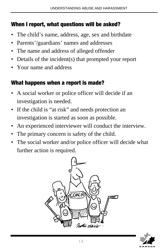# **When I report, what questions will be asked?**

- The child's name, address, age, sex and birthdate
- Parents'/guardians' names and addresses
- The name and address of alleged offender
- Details of the incident(s) that prompted your report
- Your name and address

# **What happens when a report is made?**

- A social worker or police officer will decide if an investigation is needed.
- If the child is "at risk" and needs protection an investigation is started as soon as possible.
- An experienced interviewer will conduct the interview.
- The primary concern is safety of the child.
- The social worker and/or police officer will decide what further action is required.



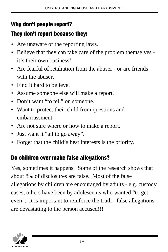# **Why don't people report?**

# **They don't report because they:**

- Are unaware of the reporting laws.
- Believe that they can take care of the problem themselves it's their own business!
- Are fearful of retaliation from the abuser or are friends with the abuser.
- Find it hard to believe.
- Assume someone else will make a report.
- Don't want "to tell" on someone.
- Want to protect their child from questions and embarrassment.
- Are not sure where or how to make a report.
- Just want it "all to go away".
- Forget that the child's best interests is the priority.

# **Do children ever make false allegations?**

Yes, sometimes it happens. Some of the research shows that about 8% of disclosures are false. Most of the false allegations by children are encouraged by adults - e.g. custody cases, others have been by adolescents who wanted "to get even". It is important to reinforce the truth - false allegations are devastating to the person accused!!!

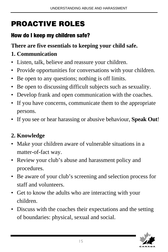# **PROACTIVE ROLES**

# **How do I keep my children safe?**

# **There are five essentials to keeping your child safe.**

# **1. Communication**

- Listen, talk, believe and reassure your children.
- Provide opportunities for conversations with your children.
- Be open to any questions; nothing is off limits.
- Be open to discussing difficult subjects such as sexuality.
- Develop frank and open communication with the coaches.
- If you have concerns, communicate them to the appropriate persons.
- If you see or hear harassing or abusive behaviour, **Speak Out**!

# **2. Knowledge**

- Make your children aware of vulnerable situations in a matter-of-fact way.
- Review your club's abuse and harassment policy and procedures.
- Be aware of your club's screening and selection process for staff and volunteers.
- Get to know the adults who are interacting with your children.
- Discuss with the coaches their expectations and the setting of boundaries: physical, sexual and social.

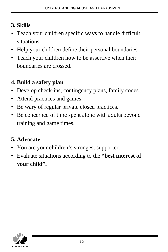# **3. Skills**

- Teach your children specific ways to handle difficult situations.
- Help your children define their personal boundaries.
- Teach your children how to be assertive when their boundaries are crossed.

# **4. Build a safety plan**

- Develop check-ins, contingency plans, family codes.
- Attend practices and games.
- Be wary of regular private closed practices.
- Be concerned of time spent alone with adults beyond training and game times.

# **5. Advocate**

- You are your children's strongest supporter.
- Evaluate situations according to the **"best interest of your child".**

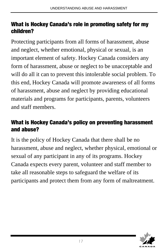### **What is Hockey Canada's role in promoting safety for my children?**

Protecting participants from all forms of harassment, abuse and neglect, whether emotional, physical or sexual, is an important element of safety. Hockey Canada considers any form of harassment, abuse or neglect to be unacceptable and will do all it can to prevent this intolerable social problem. To this end, Hockey Canada will promote awareness of all forms of harassment, abuse and neglect by providing educational materials and programs for participants, parents, volunteers and staff members.

# **What is Hockey Canada's policy on preventing harassment and abuse?**

It is the policy of Hockey Canada that there shall be no harassment, abuse and neglect, whether physical, emotional or sexual of any participant in any of its programs. Hockey Canada expects every parent, volunteer and staff member to take all reasonable steps to safeguard the welfare of its participants and protect them from any form of maltreatment.

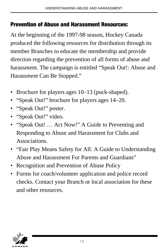### **Prevention of Abuse and Harassment Resources:**

At the beginning of the 1997-98 season, Hockey Canada produced the following resources for distribution through its member Branches to educate the membership and provide direction regarding the prevention of all forms of abuse and harassment. The campaign is entitled "Speak Out!: Abuse and Harassment Can Be Stopped."

- Brochure for players ages 10–13 (puck-shaped).
- "Speak Out!" brochure for players ages 14–20.
- "Speak Out!" poster.
- "Speak Out!" video.
- "Speak Out! … Act Now!" A Guide to Preventing and Responding to Abuse and Harassment for Clubs and Associations.
- "Fair Play Means Safety for All: A Guide to Understanding Abuse and Harassment For Parents and Guardians"
- Recognition and Prevention of Abuse Policy
- Forms for coach/volunteer application and police record checks. Contact your Branch or local association for these and other resources.

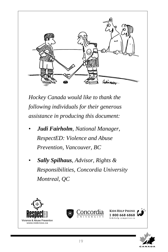

*Hockey Canada would like to thank the following individuals for their generous assistance in producing this document:*

- *• Judi Fairholm, National Manager, RespectED: Violence and Abuse Prevention, Vancouver, BC*
- *• Sally Spilhaus, Advisor, Rights & Responsibilities, Concordia University Montreal, QC*







**KIDS HELP PHONE** 1800 668 6868 shelm as